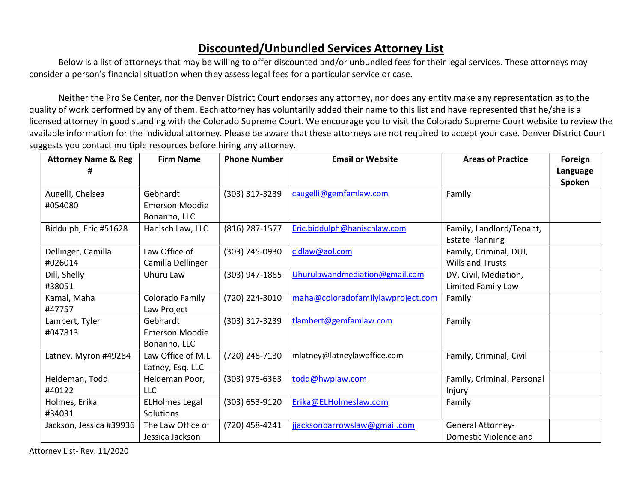## Discounted/Unbundled Services Attorney List

Below is a list of attorneys that may be willing to offer discounted and/or unbundled fees for their legal services. These attorneys may consider a person's financial situation when they assess legal fees for a particular service or case.

Neither the Pro Se Center, nor the Denver District Court endorses any attorney, nor does any entity make any representation as to the quality of work performed by any of them. Each attorney has voluntarily added their name to this list and have represented that he/she is a licensed attorney in good standing with the Colorado Supreme Court. We encourage you to visit the Colorado Supreme Court website to review the available information for the individual attorney. Please be aware that these attorneys are not required to accept your case. Denver District Court suggests you contact multiple resources before hiring any attorney.

| <b>Attorney Name &amp; Reg</b> | <b>Firm Name</b>      | <b>Phone Number</b> | <b>Email or Website</b>           | <b>Areas of Practice</b>                           | Foreign<br>Language<br>Spoken |
|--------------------------------|-----------------------|---------------------|-----------------------------------|----------------------------------------------------|-------------------------------|
| Augelli, Chelsea               | Gebhardt              | (303) 317-3239      | caugelli@gemfamlaw.com            | Family                                             |                               |
| #054080                        | <b>Emerson Moodie</b> |                     |                                   |                                                    |                               |
|                                | Bonanno, LLC          |                     |                                   |                                                    |                               |
| Biddulph, Eric #51628          | Hanisch Law, LLC      | (816) 287-1577      | Eric.biddulph@hanischlaw.com      | Family, Landlord/Tenant,<br><b>Estate Planning</b> |                               |
| Dellinger, Camilla             | Law Office of         | (303) 745-0930      | cldlaw@aol.com                    | Family, Criminal, DUI,                             |                               |
| #026014                        | Camilla Dellinger     |                     |                                   | <b>Wills and Trusts</b>                            |                               |
| Dill, Shelly                   | Uhuru Law             | (303) 947-1885      | Uhurulawandmediation@gmail.com    | DV, Civil, Mediation,                              |                               |
| #38051                         |                       |                     |                                   | Limited Family Law                                 |                               |
| Kamal, Maha                    | Colorado Family       | (720) 224-3010      | maha@coloradofamilylawproject.com | Family                                             |                               |
| #47757                         | Law Project           |                     |                                   |                                                    |                               |
| Lambert, Tyler                 | Gebhardt              | (303) 317-3239      | tlambert@gemfamlaw.com            | Family                                             |                               |
| #047813                        | <b>Emerson Moodie</b> |                     |                                   |                                                    |                               |
|                                | Bonanno, LLC          |                     |                                   |                                                    |                               |
| Latney, Myron #49284           | Law Office of M.L.    | (720) 248-7130      | mlatney@latneylawoffice.com       | Family, Criminal, Civil                            |                               |
|                                | Latney, Esq. LLC      |                     |                                   |                                                    |                               |
| Heideman, Todd                 | Heideman Poor,        | $(303)$ 975-6363    | todd@hwplaw.com                   | Family, Criminal, Personal                         |                               |
| #40122                         | <b>LLC</b>            |                     |                                   | Injury                                             |                               |
| Holmes, Erika                  | <b>ELHolmes Legal</b> | (303) 653-9120      | Erika@ELHolmeslaw.com             | Family                                             |                               |
| #34031                         | Solutions             |                     |                                   |                                                    |                               |
| Jackson, Jessica #39936        | The Law Office of     | (720) 458-4241      | jjacksonbarrowslaw@gmail.com      | <b>General Attorney-</b>                           |                               |
|                                | Jessica Jackson       |                     |                                   | Domestic Violence and                              |                               |

Attorney List- Rev. 11/2020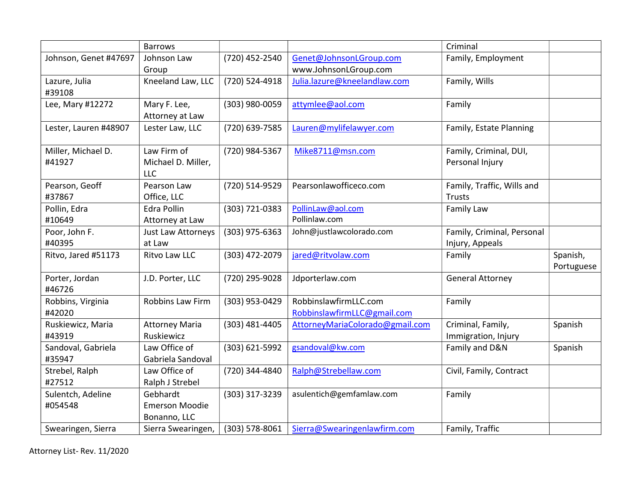|                       | <b>Barrows</b>        |                  |                                 | Criminal                   |            |
|-----------------------|-----------------------|------------------|---------------------------------|----------------------------|------------|
| Johnson, Genet #47697 | Johnson Law           | (720) 452-2540   | Genet@JohnsonLGroup.com         | Family, Employment         |            |
|                       | Group                 |                  | www.JohnsonLGroup.com           |                            |            |
| Lazure, Julia         | Kneeland Law, LLC     | (720) 524-4918   | Julia.lazure@kneelandlaw.com    | Family, Wills              |            |
| #39108                |                       |                  |                                 |                            |            |
| Lee, Mary #12272      | Mary F. Lee,          | (303) 980-0059   | attymlee@aol.com                | Family                     |            |
|                       | Attorney at Law       |                  |                                 |                            |            |
| Lester, Lauren #48907 | Lester Law, LLC       | (720) 639-7585   | Lauren@mylifelawyer.com         | Family, Estate Planning    |            |
| Miller, Michael D.    | Law Firm of           | (720) 984-5367   | Mike8711@msn.com                | Family, Criminal, DUI,     |            |
| #41927                | Michael D. Miller,    |                  |                                 | Personal Injury            |            |
|                       | <b>LLC</b>            |                  |                                 |                            |            |
| Pearson, Geoff        | Pearson Law           | (720) 514-9529   | Pearsonlawofficeco.com          | Family, Traffic, Wills and |            |
| #37867                | Office, LLC           |                  |                                 | <b>Trusts</b>              |            |
| Pollin, Edra          | Edra Pollin           | (303) 721-0383   | PollinLaw@aol.com               | Family Law                 |            |
| #10649                | Attorney at Law       |                  | Pollinlaw.com                   |                            |            |
| Poor, John F.         | Just Law Attorneys    | $(303)$ 975-6363 | John@justlawcolorado.com        | Family, Criminal, Personal |            |
| #40395                | at Law                |                  |                                 | Injury, Appeals            |            |
| Ritvo, Jared #51173   | Ritvo Law LLC         | (303) 472-2079   | jared@ritvolaw.com              | Family                     | Spanish,   |
|                       |                       |                  |                                 |                            | Portuguese |
| Porter, Jordan        | J.D. Porter, LLC      | (720) 295-9028   | Jdporterlaw.com                 | <b>General Attorney</b>    |            |
| #46726                |                       |                  |                                 |                            |            |
| Robbins, Virginia     | Robbins Law Firm      | (303) 953-0429   | RobbinslawfirmLLC.com           | Family                     |            |
| #42020                |                       |                  | RobbinslawfirmLLC@gmail.com     |                            |            |
| Ruskiewicz, Maria     | <b>Attorney Maria</b> | (303) 481-4405   | AttorneyMariaColorado@gmail.com | Criminal, Family,          | Spanish    |
| #43919                | Ruskiewicz            |                  |                                 | Immigration, Injury        |            |
| Sandoval, Gabriela    | Law Office of         | (303) 621-5992   | gsandoval@kw.com                | Family and D&N             | Spanish    |
| #35947                | Gabriela Sandoval     |                  |                                 |                            |            |
| Strebel, Ralph        | Law Office of         | (720) 344-4840   | Ralph@Strebellaw.com            | Civil, Family, Contract    |            |
| #27512                | Ralph J Strebel       |                  |                                 |                            |            |
| Sulentch, Adeline     | Gebhardt              | (303) 317-3239   | asulentich@gemfamlaw.com        | Family                     |            |
| #054548               | <b>Emerson Moodie</b> |                  |                                 |                            |            |
|                       | Bonanno, LLC          |                  |                                 |                            |            |
| Swearingen, Sierra    | Sierra Swearingen,    | (303) 578-8061   | Sierra@Swearingenlawfirm.com    | Family, Traffic            |            |